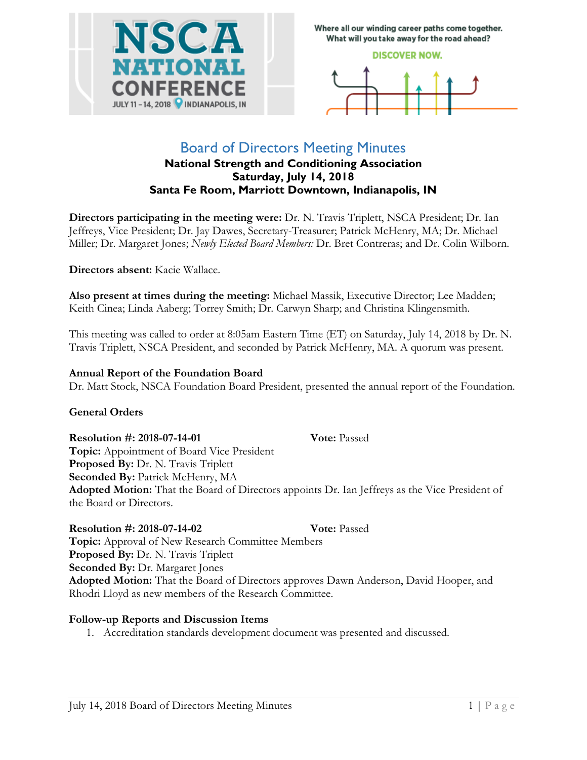

Where all our winding career paths come together. What will you take away for the road ahead?

#### **DISCOVER NOW.**



# Board of Directors Meeting Minutes

### **National Strength and Conditioning Association Saturday, July 14, 2018 Santa Fe Room, Marriott Downtown, Indianapolis, IN**

**Directors participating in the meeting were:** Dr. N. Travis Triplett, NSCA President; Dr. Ian Jeffreys, Vice President; Dr. Jay Dawes, Secretary-Treasurer; Patrick McHenry, MA; Dr. Michael Miller; Dr. Margaret Jones; *Newly Elected Board Members:* Dr. Bret Contreras; and Dr. Colin Wilborn.

**Directors absent:** Kacie Wallace.

**Also present at times during the meeting:** Michael Massik, Executive Director; Lee Madden; Keith Cinea; Linda Aaberg; Torrey Smith; Dr. Carwyn Sharp; and Christina Klingensmith.

This meeting was called to order at 8:05am Eastern Time (ET) on Saturday, July 14, 2018 by Dr. N. Travis Triplett, NSCA President, and seconded by Patrick McHenry, MA. A quorum was present.

#### **Annual Report of the Foundation Board**

Dr. Matt Stock, NSCA Foundation Board President, presented the annual report of the Foundation.

#### **General Orders**

#### **Resolution #: 2018-07-14-01** Vote: Passed

**Topic:** Appointment of Board Vice President Proposed By: Dr. N. Travis Triplett **Seconded By:** Patrick McHenry, MA **Adopted Motion:** That the Board of Directors appoints Dr. Ian Jeffreys as the Vice President of the Board or Directors.

## **Resolution #: 2018-07-14-02 Vote:** Passed

**Topic:** Approval of New Research Committee Members Proposed By: Dr. N. Travis Triplett **Seconded By: Dr. Margaret Jones Adopted Motion:** That the Board of Directors approves Dawn Anderson, David Hooper, and Rhodri Lloyd as new members of the Research Committee.

#### **Follow-up Reports and Discussion Items**

1. Accreditation standards development document was presented and discussed.